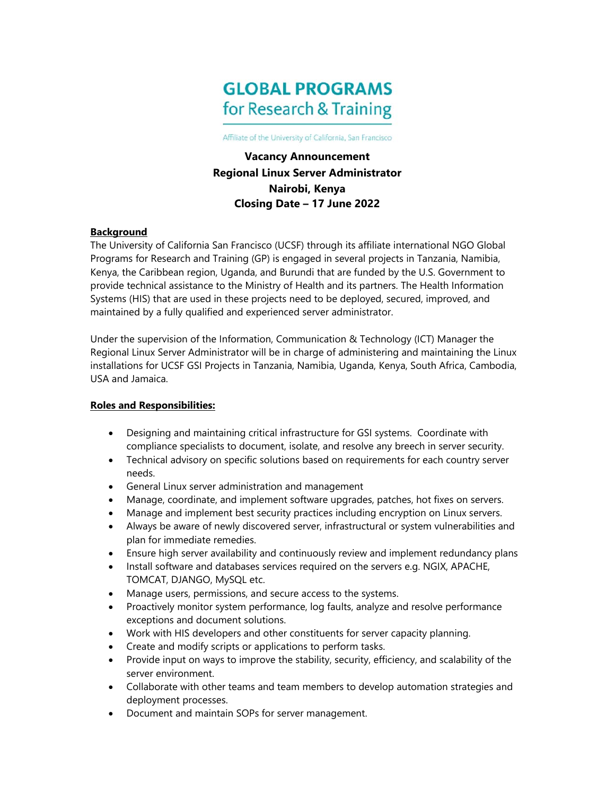# **GLOBAL PROGRAMS** for Research & Training

Affiliate of the University of California, San Francisco

**Vacancy Announcement Regional Linux Server Administrator Nairobi, Kenya Closing Date – 17 June 2022** 

#### **Background**

The University of California San Francisco (UCSF) through its affiliate international NGO Global Programs for Research and Training (GP) is engaged in several projects in Tanzania, Namibia, Kenya, the Caribbean region, Uganda, and Burundi that are funded by the U.S. Government to provide technical assistance to the Ministry of Health and its partners. The Health Information Systems (HIS) that are used in these projects need to be deployed, secured, improved, and maintained by a fully qualified and experienced server administrator.

Under the supervision of the Information, Communication & Technology (ICT) Manager the Regional Linux Server Administrator will be in charge of administering and maintaining the Linux installations for UCSF GSI Projects in Tanzania, Namibia, Uganda, Kenya, South Africa, Cambodia, USA and Jamaica.

#### **Roles and Responsibilities:**

- Designing and maintaining critical infrastructure for GSI systems. Coordinate with compliance specialists to document, isolate, and resolve any breech in server security.
- Technical advisory on specific solutions based on requirements for each country server needs.
- General Linux server administration and management
- Manage, coordinate, and implement software upgrades, patches, hot fixes on servers.
- Manage and implement best security practices including encryption on Linux servers.
- Always be aware of newly discovered server, infrastructural or system vulnerabilities and plan for immediate remedies.
- Ensure high server availability and continuously review and implement redundancy plans
- Install software and databases services required on the servers e.g. NGIX, APACHE, TOMCAT, DJANGO, MySQL etc.
- Manage users, permissions, and secure access to the systems.
- Proactively monitor system performance, log faults, analyze and resolve performance exceptions and document solutions.
- Work with HIS developers and other constituents for server capacity planning.
- Create and modify scripts or applications to perform tasks.
- Provide input on ways to improve the stability, security, efficiency, and scalability of the server environment.
- Collaborate with other teams and team members to develop automation strategies and deployment processes.
- Document and maintain SOPs for server management.